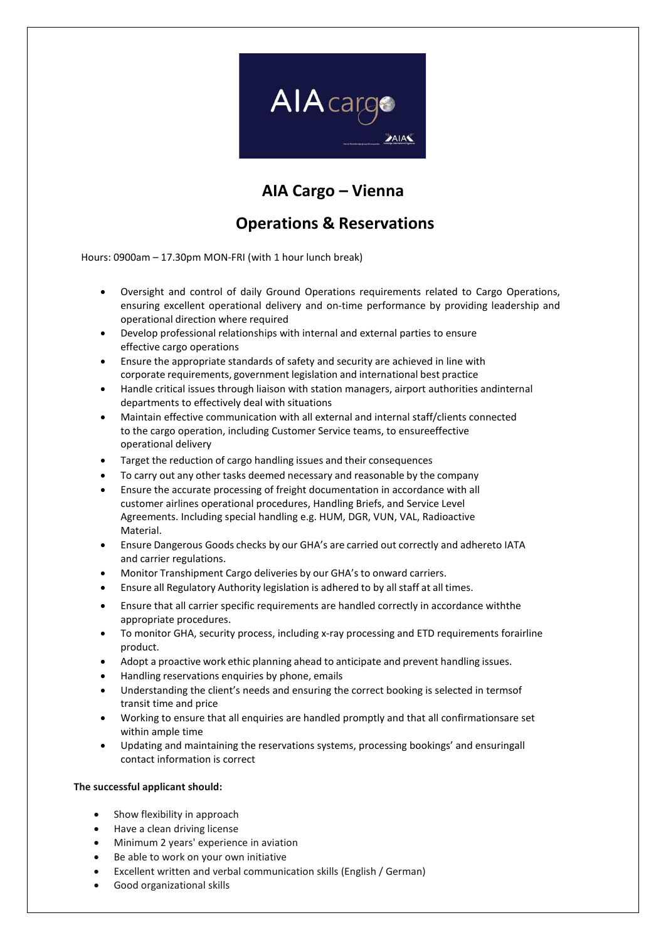

## **AIA Cargo – Vienna**

## **Operations & Reservations**

Hours: 0900am – 17.30pm MON-FRI (with 1 hour lunch break)

- Oversight and control of daily Ground Operations requirements related to Cargo Operations, ensuring excellent operational delivery and on-time performance by providing leadership and operational direction where required
- Develop professional relationships with internal and external parties to ensure effective cargo operations
- Ensure the appropriate standards of safety and security are achieved in line with corporate requirements, government legislation and international best practice
- Handle critical issues through liaison with station managers, airport authorities andinternal departments to effectively deal with situations
- Maintain effective communication with all external and internal staff/clients connected to the cargo operation, including Customer Service teams, to ensureeffective operational delivery
- Target the reduction of cargo handling issues and their consequences
- To carry out any other tasks deemed necessary and reasonable by the company
- Ensure the accurate processing of freight documentation in accordance with all customer airlines operational procedures, Handling Briefs, and Service Level Agreements. Including special handling e.g. HUM, DGR, VUN, VAL, Radioactive Material.
- Ensure Dangerous Goods checks by our GHA's are carried out correctly and adhereto IATA and carrier regulations.
- Monitor Transhipment Cargo deliveries by our GHA's to onward carriers.
- Ensure all Regulatory Authority legislation is adhered to by all staff at all times.
- Ensure that all carrier specific requirements are handled correctly in accordance withthe appropriate procedures.
- To monitor GHA, security process, including x-ray processing and ETD requirements forairline product.
- Adopt a proactive work ethic planning ahead to anticipate and prevent handling issues.
- Handling reservations enquiries by phone, emails
- Understanding the client's needs and ensuring the correct booking is selected in termsof transit time and price
- Working to ensure that all enquiries are handled promptly and that all confirmationsare set within ample time
- Updating and maintaining the reservations systems, processing bookings' and ensuringall contact information is correct

## **The successful applicant should:**

- Show flexibility in approach
- Have a clean driving license
- Minimum 2 years' experience in aviation
- Be able to work on your own initiative
- Excellent written and verbal communication skills (English / German)
- Good organizational skills